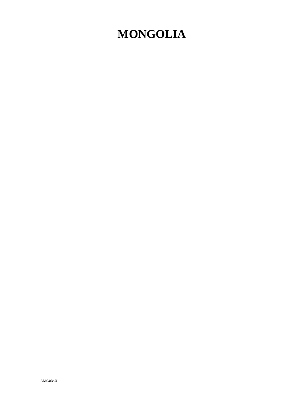## **MONGOLIA**